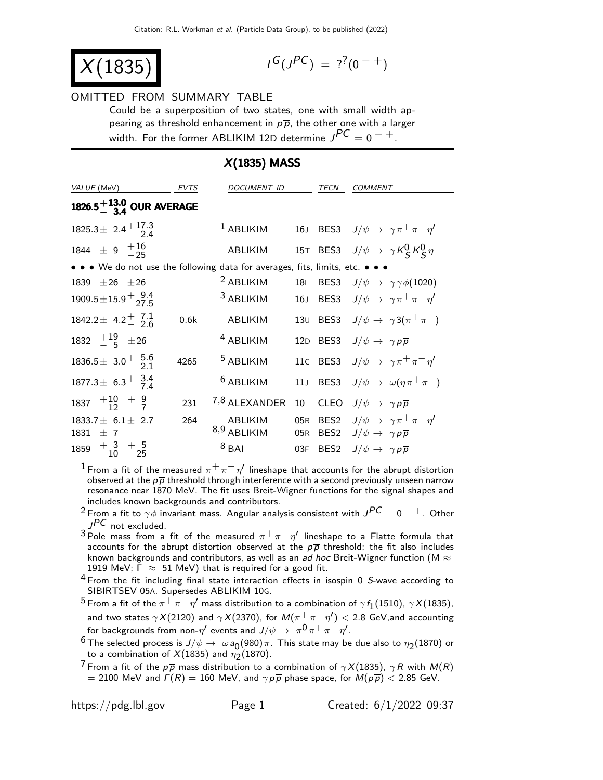$$
X(1835)
$$

$$
I^G(J^{PC}) = ?^?(0^{-+})
$$

#### OMITTED FROM SUMMARY TABLE

Could be a superposition of two states, one with small width appearing as threshold enhancement in  $p\overline{p}$ , the other one with a larger width. For the former ABLIKIM 12D determine  $J^{PC} = 0^{-+}$ .

## X(1835) MASS

| <i>VALUE</i> (MeV)                                                            | <b>EVTS</b> | <i>DOCUMENT ID</i>       |                 | TECN                                 | <i>COMMENT</i>                                                                              |
|-------------------------------------------------------------------------------|-------------|--------------------------|-----------------|--------------------------------------|---------------------------------------------------------------------------------------------|
| 1826.5 $^{+13.0}_{-3.4}$ OUR AVERAGE                                          |             |                          |                 |                                      |                                                                                             |
| $1825.3 \pm 2.4 \frac{+17.3}{2.4}$                                            |             | $1$ ABLIKIM              |                 |                                      | 16J BES3 $J/\psi \rightarrow \gamma \pi^+ \pi^- \eta'$                                      |
| 1844 $\pm$ 9 $\frac{+16}{-25}$                                                |             | ABLIKIM                  |                 |                                      | 15T BES3 $J/\psi \rightarrow \gamma K_S^0 K_S^0 \eta$                                       |
| • • • We do not use the following data for averages, fits, limits, etc. • • • |             |                          |                 |                                      |                                                                                             |
| 1839 $\pm 26$ $\pm 26$                                                        |             | <sup>2</sup> ABLIKIM     | <b>18I</b>      | BES3                                 | $J/\psi \rightarrow \gamma \gamma \phi(1020)$                                               |
| $1909.5 \pm 15.9 \frac{+}{2}$ $\frac{9.4}{27.5}$                              |             | <sup>3</sup> ABLIKIM     | 16 <sub>J</sub> | BES <sub>3</sub>                     | $J/\psi \rightarrow \gamma \pi^+ \pi^- \eta'$                                               |
| 1842.2 ± 4.2 $^{+}$ 7.1                                                       | 0.6k        | ABLIKIM                  | 13 <sub>U</sub> |                                      | BES3 $J/\psi \rightarrow \gamma 3(\pi^+\pi^-)$                                              |
| 1832 $+19/5$ $\pm 26$                                                         |             | <sup>4</sup> ABLIKIM     | 12D             | BES3                                 | $J/\psi \rightarrow \gamma p \overline{p}$                                                  |
| $1836.5\pm 3.0^+$ $\frac{5.6}{2.1}$                                           | 4265        | <sup>5</sup> ABLIKIM     |                 | 11c BES3                             | $J/\psi \rightarrow \gamma \pi^+ \pi^- \eta'$                                               |
| 1877.3 $\pm$ 6.3 $^{+}_{-}$ 3.4                                               |             | <sup>6</sup> ABLIKIM     | 11 <sub>1</sub> | BES <sub>3</sub>                     | $J/\psi \rightarrow \omega(\eta \pi^+ \pi^-)$                                               |
| $1837 + 10 + 9$                                                               | 231         | 7,8 ALEXANDER            | 10              | <b>CLEO</b>                          | $J/\psi \rightarrow \gamma p \overline{p}$                                                  |
| $1833.7 \pm 6.1 \pm 2.7$<br>1831<br>$+7$                                      | 264         | ABLIKIM<br>$8,9$ ABLIKIM | 05R<br>05R      | BES <sub>2</sub><br>BES <sub>2</sub> | $J/\psi \rightarrow \gamma \pi^+ \pi^- \eta'$<br>$J/\psi \rightarrow \gamma p \overline{p}$ |
| $1859 + 3 + 5$<br>-10 -25                                                     |             | $8$ BAI                  | 03F             | BES <sub>2</sub>                     | $J/\psi \rightarrow \gamma p \overline{p}$                                                  |

 $^1$  From a fit of the measured  $\pi^+\pi^-\eta'$  lineshape that accounts for the abrupt distortion observed at the  $p\bar{p}$  threshold through interference with a second previously unseen narrow resonance near 1870 MeV. The fit uses Breit-Wigner functions for the signal shapes and includes known backgrounds and contributors.

- <sup>2</sup> From a fit to  $\gamma\phi$  invariant mass. Angular analysis consistent with  $J^{PC} = 0^{-+}$ . Other  $J^{PC}$  not excluded.
- $3$  Pole mass from a fit of the measured  $\pi^+\pi^-\eta'$  lineshape to a Flatte formula that accounts for the abrupt distortion observed at the  $p\overline{p}$  threshold; the fit also includes known backgrounds and contributors, as well as an ad hoc Breit-Wigner function (M  $\approx$ 1919 MeV;  $\Gamma \approx 51$  MeV) that is required for a good fit.
- <sup>4</sup> From the fit including final state interaction effects in isospin 0 S-wave according to SIBIRTSEV 05A. Supersedes ABLIKIM 10G.
- 5 From a fit of the  $\pi^+ \pi^- \eta'$  mass distribution to a combination of  $\gamma f_1(1510)$ ,  $\gamma X(1835)$ , and two states  $\gamma X(2120)$  and  $\gamma X(2370)$ , for  $M(\pi^+\pi^-\eta') < 2.8$  GeV, and accounting for backgrounds from non- $\eta'$  events and  $J/\psi \rightarrow \pi^0 \pi^+ \pi^- \eta'$ .
- <sup>6</sup> The selected process is  $J/\psi \to \omega a_0(980) \pi$ . This state may be due also to  $\eta_2(1870)$  or to a combination of  $X(1835)$  and  $\eta_2(1870)$ .
- <sup>7</sup> From a fit of the  $p\overline{p}$  mass distribution to a combination of  $\gamma X(1835)$ ,  $\gamma R$  with  $M(R)$  $= 2100$  MeV and  $\Gamma(R) = 160$  MeV, and  $\gamma p \overline{p}$  phase space, for  $\dot{M}(p \overline{p}) < 2.85$  GeV.

https://pdg.lbl.gov Page 1 Created:  $6/1/2022$  09:37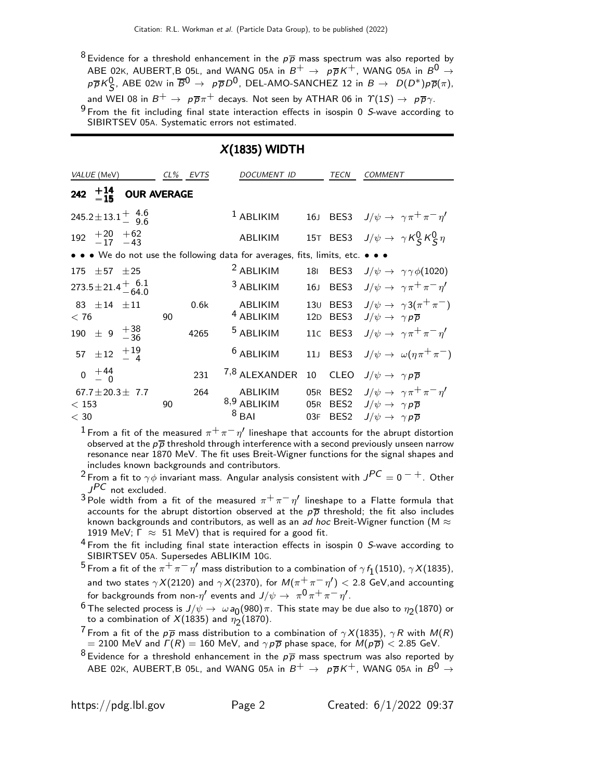$8$  Evidence for a threshold enhancement in the  $p\overline{p}$  mass spectrum was also reported by <code>ABE 02</code>K, <code>AUBERT</code>,B <code>05L,</code> and WANG 05A in  $B^+\,\rightarrow\;p\overline{p}K^+$ , WANG 05A in  $B^0\,\rightarrow\,$  $p\overline{p}K_S^0$ , ABE 02w in  $\overline{B^0} \rightarrow p\overline{p}D^0$ , DEL-AMO-SANCHEZ 12 in  $B \rightarrow D(D^*)p\overline{p}(\pi)$ , and WEI 08 in  $B^+ \to p\overline{p}\pi^+$  decays. Not seen by ATHAR 06 in  $\gamma(1S) \to p\overline{p}\gamma$ .  $9$  From the fit including final state interaction effects in isospin 0 S-wave according to SIBIRTSEV 05A. Systematic errors not estimated.

### X(1835) WIDTH

| VALUE (MeV)                                              |     | $CL\%$ | EVTS | <b>DOCUMENT ID</b>                                                            |                 | TECN             | COMMENT                                                |
|----------------------------------------------------------|-----|--------|------|-------------------------------------------------------------------------------|-----------------|------------------|--------------------------------------------------------|
| 242 $+14$ OUR AVERAGE                                    |     |        |      |                                                                               |                 |                  |                                                        |
| $245.2 \pm 13.1 \begin{array}{c} 4.6 \\ 9.6 \end{array}$ |     |        |      | $1$ ABLIKIM                                                                   |                 |                  | 16J BES3 $J/\psi \rightarrow \gamma \pi^+ \pi^- \eta'$ |
| $192 \begin{array}{c} +20 \\ -17 \\ -43 \end{array}$     |     |        |      | ABLIKIM                                                                       |                 |                  | 15T BES3 $J/\psi \rightarrow \gamma K_S^0 K_S^0 \eta$  |
|                                                          |     |        |      | • • • We do not use the following data for averages, fits, limits, etc. • • • |                 |                  |                                                        |
| 175<br>$\pm 57$                                          | ±25 |        |      | <sup>2</sup> ABLIKIM                                                          | 181             | BES3             | $J/\psi \rightarrow \gamma \gamma \phi(1020)$          |
| $273.5 \pm 21.4 \frac{+}{-64.0}$                         |     |        |      | <sup>3</sup> ABLIKIM                                                          | 16J             |                  | BES3 $J/\psi \rightarrow \gamma \pi^+ \pi^- \eta'$     |
| 83 $\pm 14$ $\pm 11$                                     |     |        | 0.6k | ABLIKIM                                                                       | 13 <sub>U</sub> | BES3             | $J/\psi \rightarrow \gamma 3(\pi^+\pi^-)$              |
| < 76                                                     |     | 90     |      | <sup>4</sup> ABLIKIM                                                          | 12D             | BES3             | $J/\psi \rightarrow \gamma p \overline{p}$             |
| 190 $\pm$ 9 $^{+38}_{-36}$                               |     |        | 4265 | <sup>5</sup> ABLIKIM                                                          |                 | 11c BES3         | $J/\psi \rightarrow \gamma \pi^+ \pi^- \eta'$          |
| 57 $\pm$ 12 $\frac{+19}{-4}$                             |     |        |      | <sup>6</sup> ABLIKIM                                                          | 11 <sub>J</sub> | BES3             | $J/\psi \rightarrow \omega(\eta \pi^+ \pi^-)$          |
| $0 \tfrac{+44}{0}$                                       |     |        | 231  | 7,8 ALEXANDER                                                                 | 10              | <b>CLEO</b>      | $J/\psi \rightarrow \gamma p \overline{p}$             |
| 67.7 $\pm$ 20.3 $\pm$ 7.7                                |     |        | 264  | ABLIKIM                                                                       | 05R             | BES <sub>2</sub> | $J/\psi \rightarrow \gamma \pi^+ \pi^- \eta'$          |
| < 153                                                    |     | 90     |      | 8,9 ABLIKIM                                                                   | 05R             | BES2             | $J/\psi \rightarrow \gamma p \overline{p}$             |
| $<$ 30                                                   |     |        |      | $8$ BAI                                                                       | 03F             | BES <sub>2</sub> | $J/\psi \rightarrow \gamma p \overline{p}$             |

 $^1$  From a fit of the measured  $\pi^+\pi^-\eta'$  lineshape that accounts for the abrupt distortion observed at the  $p\overline{p}$  threshold through interference with a second previously unseen narrow resonance near 1870 MeV. The fit uses Breit-Wigner functions for the signal shapes and includes known backgrounds and contributors.

<sup>2</sup> From a fit to  $\gamma \phi$  invariant mass. Angular analysis consistent with  $J^{PC} = 0^{-+}$ . Other JPC not excluded.

 $3$  Pole width from a fit of the measured  $\pi^+\pi^-\eta'$  lineshape to a Flatte formula that accounts for the abrupt distortion observed at the  $p\bar{p}$  threshold; the fit also includes known backgrounds and contributors, as well as an ad hoc Breit-Wigner function (M  $\approx$ 1919 MeV;  $\Gamma \approx 51$  MeV) that is required for a good fit.

 $^4$  From the fit including final state interaction effects in isospin 0 S-wave according to

SIBIRTSEV 05A. Supersedes ABLIKIM 10G.<br><sup>5</sup> From a fit of the  $\pi^+\pi^-\eta'$  mass distribution to a combination of  $\gamma\,f_1(1510)$ ,  $\gamma X(1835)$ , and two states  $\gamma X(2120)$  and  $\gamma X(2370)$ , for  $M(\pi^+\pi^-\eta') < 2.8$  GeV, and accounting for backgrounds from non- $\eta'$  events and  $J/\psi \rightarrow \pi^0 \pi^+ \pi^- \eta'$ .

<sup>6</sup> The selected process is  $J/\psi \to \omega a_0(980) \pi$ . This state may be due also to  $\eta_2(1870)$  or to a combination of  $X(1835)$  and  $\eta_2(1870)$ .

<sup>7</sup> From a fit of the  $p\overline{p}$  mass distribution to a combination of  $\gamma X(1835)$ ,  $\gamma R$  with  $M(R)$ = 2100 MeV and  $\Gamma(R) = 160$  MeV, and  $\gamma p \overline{p}$  phase space, for  $M(p \overline{p}) < 2.85$  GeV.

 $8$  Evidence for a threshold enhancement in the  $p\overline{p}$  mass spectrum was also reported by ABE 02K, AUBERT,B 05L, and WANG 05A in  $B^+\rightarrow p\overline{p}K^+$ , WANG 05A in  $B^0\rightarrow$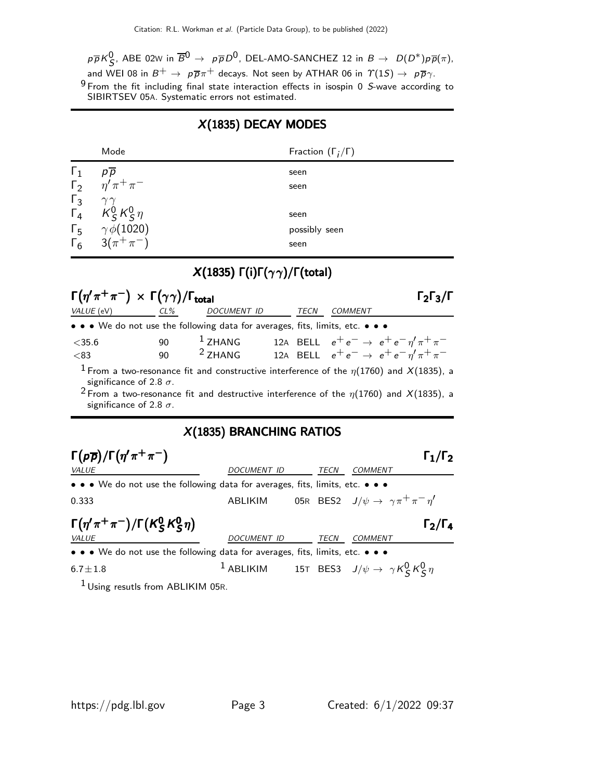$p\overline{p}K^0_S$ , ABE 02w in  $\overline{B}{}^0\to~p\overline{p}D^0$ , DEL-AMO-SANCHEZ 12 in  $B\to~D(D^*)p\overline{p}(\pi),$ and WEI 08 in  $B^+ \to p\overline{p}\pi^+$  decays. Not seen by ATHAR 06 in  $\Upsilon(1S) \to p\overline{p}\gamma$ . 9 From the fit including final state interaction effects in isospin 0 S-wave according to SIBIRTSEV 05A. Systematic errors not estimated.

## X(1835) DECAY MODES

|            | Mode                                                                                  | Fraction $(\Gamma_i/\Gamma)$ |
|------------|---------------------------------------------------------------------------------------|------------------------------|
| $\Gamma_1$ | $p\overline{p}$                                                                       | seen                         |
|            | $\Gamma_2 \frac{n}{\eta} \pi^+ \pi^-$                                                 | seen                         |
|            | $\begin{matrix} \Gamma_3 & \gamma \gamma \\ \Gamma_4 & K_S^0 K_S^0 \eta \end{matrix}$ |                              |
|            |                                                                                       | seen                         |
|            | $\Gamma_5$ $\gamma \phi(1020)$                                                        | possibly seen                |
|            | $\Gamma_6$ 3( $\pi^+\pi^-$ )                                                          | seen                         |

# X(1835) Γ(i)Γ(γ γ)/Γ(total)

| $\Gamma(\eta'\pi^+\pi^-) \times \Gamma(\gamma\gamma)/\Gamma_{\text{total}}$ |          |                                                                                                                                                                                                                 |      |                                                                                                                               | $l_2$ $l_3$ /I      |
|-----------------------------------------------------------------------------|----------|-----------------------------------------------------------------------------------------------------------------------------------------------------------------------------------------------------------------|------|-------------------------------------------------------------------------------------------------------------------------------|---------------------|
| VALUE (eV)                                                                  | $CL\%$   | DOCUMENT ID                                                                                                                                                                                                     | TECN | <b>COMMENT</b>                                                                                                                |                     |
|                                                                             |          | • • • We do not use the following data for averages, fits, limits, etc. • • •                                                                                                                                   |      |                                                                                                                               |                     |
| $<$ 35.6<br>< 83                                                            | 90<br>90 | $1$ ZHANG<br><sup>2</sup> ZHANG                                                                                                                                                                                 |      | 12A BELL $e^+e^- \rightarrow e^+e^-\eta^{\prime}\pi^+\pi^-$<br>12A BELL $e^+e^- \rightarrow e^+e^- \eta^{\prime} \pi^+ \pi^-$ |                     |
| significance of 2.8 $\sigma$ .<br>significance of 2.8 $\sigma$ .            |          | <sup>1</sup> From a two-resonance fit and constructive interference of the $\eta(1760)$ and X(1835), a<br><sup>2</sup> From a two-resonance fit and destructive interference of the $\eta(1760)$ and X(1835), a |      |                                                                                                                               |                     |
|                                                                             |          | X(1835) BRANCHING RATIOS                                                                                                                                                                                        |      |                                                                                                                               |                     |
| $\Gamma(p\overline{p})/\Gamma(\eta'\pi^+\pi^-)$                             |          |                                                                                                                                                                                                                 |      |                                                                                                                               | $\Gamma_1/\Gamma_2$ |
| <b>VALUE</b>                                                                |          | DOCUMENT ID                                                                                                                                                                                                     |      | TECN<br><b>COMMENT</b>                                                                                                        |                     |
|                                                                             |          | • • • We do not use the following data for averages, fits, limits, etc. • • •                                                                                                                                   |      |                                                                                                                               |                     |
| 0.333                                                                       |          | ABLIKIM                                                                                                                                                                                                         |      | 05R BES2 $J/\psi \rightarrow \gamma \pi^+ \pi^- \eta'$                                                                        |                     |
| $\Gamma(\eta'\pi^+\pi^-)/\Gamma(K^0_S K^0_S \eta)$                          |          |                                                                                                                                                                                                                 |      |                                                                                                                               | 12/14               |
| VALUE                                                                       |          | DOCUMENT ID                                                                                                                                                                                                     |      | TECN<br>COMMENT                                                                                                               |                     |

• • • We do not use the following data for averages, fits, limits, etc. • • •

 $1$  ABLIKIM 15T BES3  $J/\psi \rightarrow \gamma K_S^0 K_S^0 \eta$ 

 $1$  Using resutls from ABLIKIM 05R.

 $6.7 \pm 1.8$